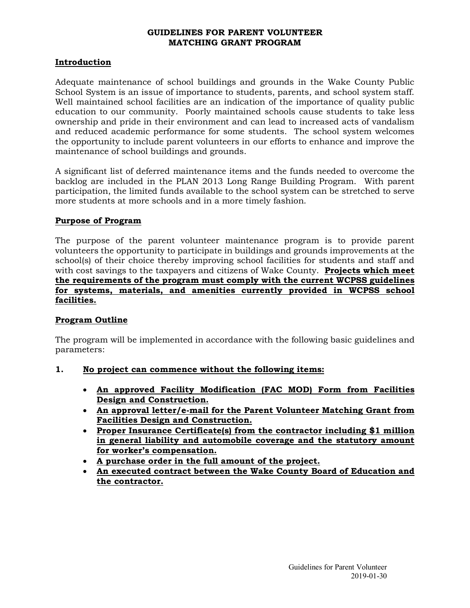# **GUIDELINES FOR PARENT VOLUNTEER MATCHING GRANT PROGRAM**

# **Introduction**

Adequate maintenance of school buildings and grounds in the Wake County Public School System is an issue of importance to students, parents, and school system staff. Well maintained school facilities are an indication of the importance of quality public education to our community. Poorly maintained schools cause students to take less ownership and pride in their environment and can lead to increased acts of vandalism and reduced academic performance for some students. The school system welcomes the opportunity to include parent volunteers in our efforts to enhance and improve the maintenance of school buildings and grounds.

A significant list of deferred maintenance items and the funds needed to overcome the backlog are included in the PLAN 2013 Long Range Building Program. With parent participation, the limited funds available to the school system can be stretched to serve more students at more schools and in a more timely fashion.

#### **Purpose of Program**

The purpose of the parent volunteer maintenance program is to provide parent volunteers the opportunity to participate in buildings and grounds improvements at the school(s) of their choice thereby improving school facilities for students and staff and with cost savings to the taxpayers and citizens of Wake County. **Projects which meet the requirements of the program must comply with the current WCPSS guidelines for systems, materials, and amenities currently provided in WCPSS school facilities.**

# **Program Outline**

The program will be implemented in accordance with the following basic guidelines and parameters:

- **1. No project can commence without the following items:**
	- **An approved Facility Modification (FAC MOD) Form from Facilities Design and Construction.**
	- **An approval letter/e-mail for the Parent Volunteer Matching Grant from Facilities Design and Construction.**
	- **Proper Insurance Certificate(s) from the contractor including \$1 million in general liability and automobile coverage and the statutory amount for worker's compensation.**
	- **A purchase order in the full amount of the project.**
	- **An executed contract between the Wake County Board of Education and the contractor.**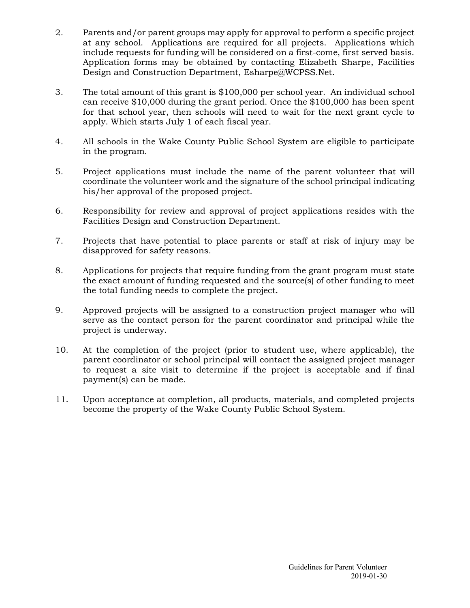- 2. Parents and/or parent groups may apply for approval to perform a specific project at any school. Applications are required for all projects. Applications which include requests for funding will be considered on a first-come, first served basis. Application forms may be obtained by contacting Elizabeth Sharpe, Facilities Design and Construction Department, Esharpe@WCPSS.Net.
- 3. The total amount of this grant is \$100,000 per school year. An individual school can receive \$10,000 during the grant period. Once the \$100,000 has been spent for that school year, then schools will need to wait for the next grant cycle to apply. Which starts July 1 of each fiscal year.
- 4. All schools in the Wake County Public School System are eligible to participate in the program.
- 5. Project applications must include the name of the parent volunteer that will coordinate the volunteer work and the signature of the school principal indicating his/her approval of the proposed project.
- 6. Responsibility for review and approval of project applications resides with the Facilities Design and Construction Department.
- 7. Projects that have potential to place parents or staff at risk of injury may be disapproved for safety reasons.
- 8. Applications for projects that require funding from the grant program must state the exact amount of funding requested and the source(s) of other funding to meet the total funding needs to complete the project.
- 9. Approved projects will be assigned to a construction project manager who will serve as the contact person for the parent coordinator and principal while the project is underway.
- 10. At the completion of the project (prior to student use, where applicable), the parent coordinator or school principal will contact the assigned project manager to request a site visit to determine if the project is acceptable and if final payment(s) can be made.
- 11. Upon acceptance at completion, all products, materials, and completed projects become the property of the Wake County Public School System.